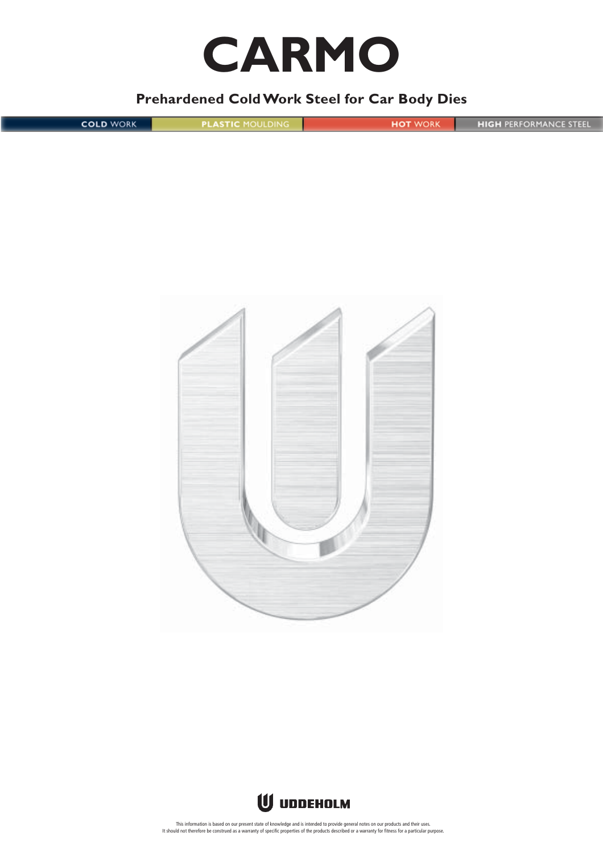# **CARMO**

## **Prehardened Cold Work Steel for Car Body Dies**

| <b>COLD WORK</b> | <b>PLASTIC MOULDING</b> | <b>HOT WORK</b> | <b>HIGH PERFORMANCE STEEL</b> |
|------------------|-------------------------|-----------------|-------------------------------|
|                  |                         |                 |                               |
|                  |                         |                 |                               |





This information is based on our present state of knowledge and is intended to provide general notes on our products and their uses.<br>It should not therefore be construed as a warranty of specific properties of the products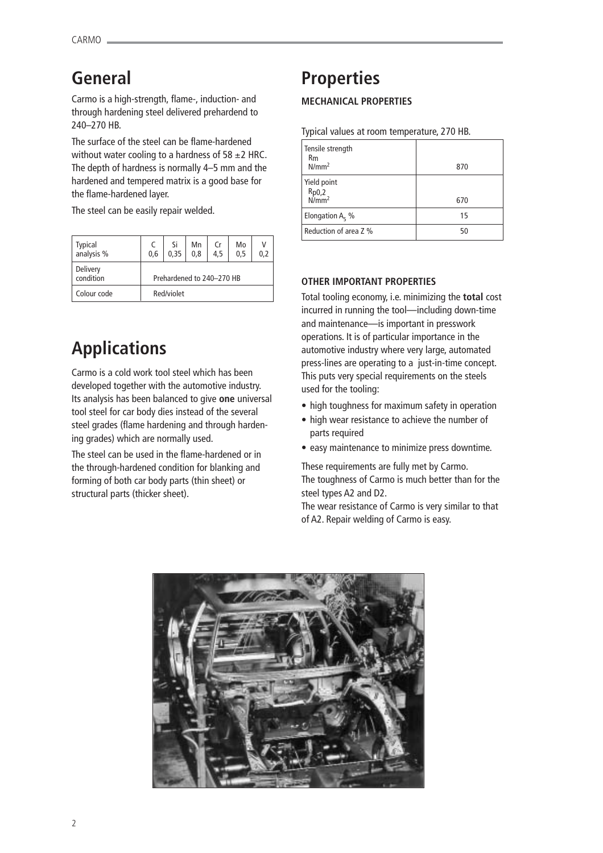## **General**

Carmo is a high-strength, flame-, induction- and through hardening steel delivered prehardend to 240–270 HB.

The surface of the steel can be flame-hardened without water cooling to a hardness of  $58 \pm 2$  HRC. The depth of hardness is normally 4–5 mm and the hardened and tempered matrix is a good base for the flame-hardened layer.

The steel can be easily repair welded.

| Typical<br>analysis % | 0,6                       | Si<br>0.35 | Mn<br>0.8 | Cr<br>4.5 | Mo<br>0.5 | 0.2 |
|-----------------------|---------------------------|------------|-----------|-----------|-----------|-----|
| Delivery<br>condition | Prehardened to 240-270 HB |            |           |           |           |     |
| Colour code           | Red/violet                |            |           |           |           |     |

## **Applications**

Carmo is a cold work tool steel which has been developed together with the automotive industry. Its analysis has been balanced to give **one** universal tool steel for car body dies instead of the several steel grades (flame hardening and through hardening grades) which are normally used.

The steel can be used in the flame-hardened or in the through-hardened condition for blanking and forming of both car body parts (thin sheet) or structural parts (thicker sheet).

## **Properties**

## **MECHANICAL PROPERTIES**

Typical values at room temperature, 270 HB.

| Tensile strength<br>R <sub>m</sub><br>N/mm <sup>2</sup> | 870 |
|---------------------------------------------------------|-----|
| Yield point<br>$Rp0,2$<br>N/mm <sup>2</sup>             | 670 |
| Elongation $A_5$ %                                      | 15  |
| Reduction of area Z %                                   | 50  |

## **OTHER IMPORTANT PROPERTIES**

Total tooling economy, i.e. minimizing the **total** cost incurred in running the tool—including down-time and maintenance—is important in presswork operations. It is of particular importance in the automotive industry where very large, automated press-lines are operating to a just-in-time concept. This puts very special requirements on the steels used for the tooling:

- high toughness for maximum safety in operation
- high wear resistance to achieve the number of parts required
- easy maintenance to minimize press downtime.

These requirements are fully met by Carmo. The toughness of Carmo is much better than for the steel types A2 and D2.

The wear resistance of Carmo is very similar to that of A2. Repair welding of Carmo is easy.

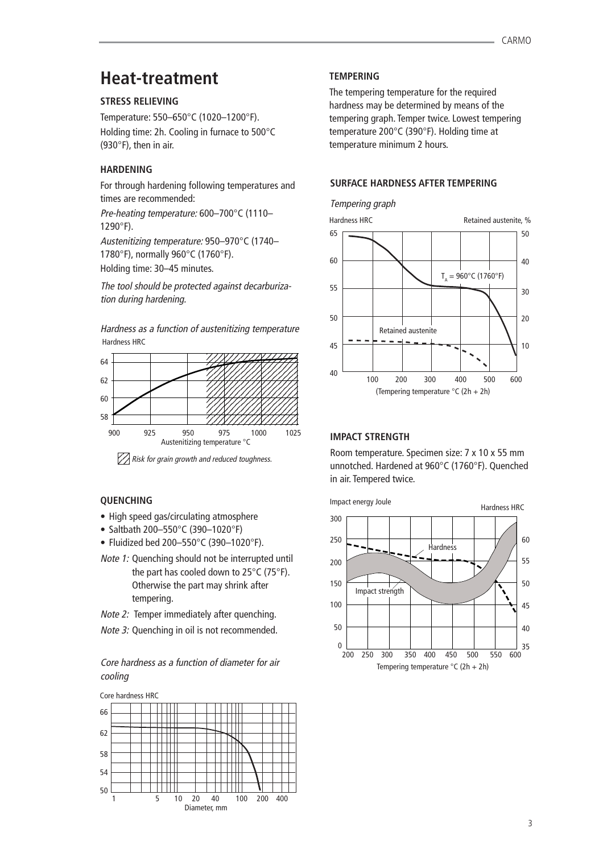## **Heat-treatment**

## **STRESS RELIEVING**

Temperature: 550–650°C (1020–1200°F). Holding time: 2h. Cooling in furnace to 500°C (930°F), then in air.

## **HARDENING**

For through hardening following temperatures and times are recommended:

Pre-heating temperature: 600–700°C (1110– 1290°F).

Austenitizing temperature: 950–970°C (1740– 1780°F), normally 960°C (1760°F).

Holding time: 30–45 minutes.

The tool should be protected against decarburization during hardening.

Hardness HRC Hardness as a function of austenitizing temperature



123 <sup>123</sup>Risk for grain growth and reduced toughness.

## **QUENCHING**

- High speed gas/circulating atmosphere
- Saltbath 200–550°C (390–1020°F)
- Fluidized bed 200–550°C (390–1020°F).
- Note 1: Quenching should not be interrupted until the part has cooled down to 25°C (75°F). Otherwise the part may shrink after tempering.
- Note 2: Temper immediately after quenching.
- Note 3: Quenching in oil is not recommended.

## Core hardness as a function of diameter for air cooling



## **TEMPERING**

The tempering temperature for the required hardness may be determined by means of the tempering graph. Temper twice. Lowest tempering temperature 200°C (390°F). Holding time at temperature minimum 2 hours.

## **SURFACE HARDNESS AFTER TEMPERING**



## **IMPACT STRENGTH**

Room temperature. Specimen size: 7 x 10 x 55 mm unnotched. Hardened at 960°C (1760°F). Quenched in air. Tempered twice.

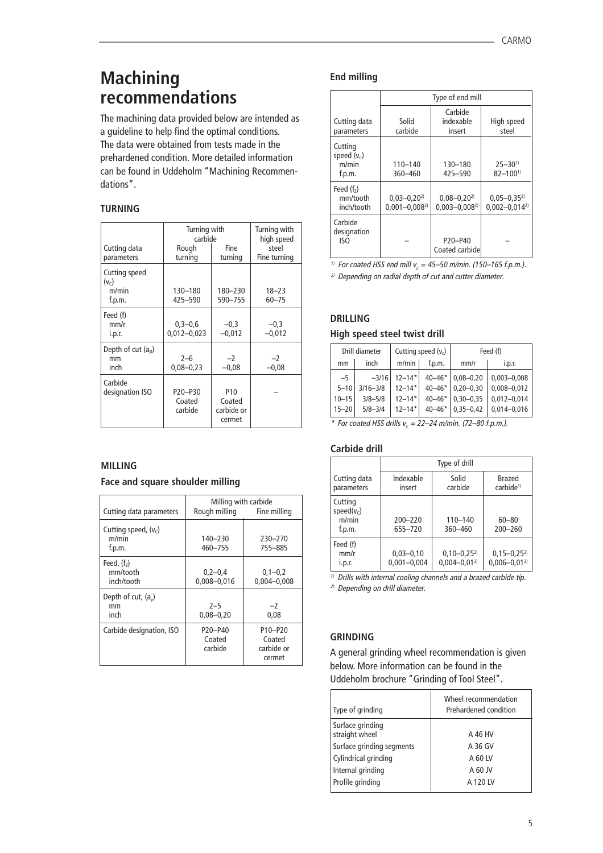## **Machining End milling recommendations**

The machining data provided below are intended as a guideline to help find the optimal conditions. The data were obtained from tests made in the prehardened condition. More detailed information can be found in Uddeholm "Machining Recommendations".

## **TURNING**

|                                             | Turning with<br>carbide      |                                                   | Turning with<br>high speed |
|---------------------------------------------|------------------------------|---------------------------------------------------|----------------------------|
| Cutting data<br>parameters                  | Rough<br>turning             | Fine<br>turning                                   | steel<br>Fine turning      |
| Cutting speed<br>$(v_c)$<br>m/min<br>f.p.m. | 130-180<br>425-590           | 180-230<br>590-755                                | $18 - 23$<br>$60 - 75$     |
| Feed (f)<br>mm/r<br>i.p.r.                  | $0,3-0,6$<br>$0,012 - 0,023$ | $-0,3$<br>$-0,012$                                | $-0,3$<br>$-0,012$         |
| Depth of cut $(a_n)$<br>mm<br>inch          | $2 - 6$<br>$0,08 - 0,23$     | $-2$<br>$-0,08$                                   | -2<br>$-0,08$              |
| Carbide<br>designation ISO                  | P20-P30<br>Coated<br>carbide | P <sub>10</sub><br>Coated<br>carbide or<br>cermet |                            |

## **MILLING**

## **Face and square shoulder milling**

| Cutting data parameters                   | Milling with carbide<br>Rough milling<br>Fine milling |                                                                    |
|-------------------------------------------|-------------------------------------------------------|--------------------------------------------------------------------|
| Cutting speed, $(v_c)$<br>m/min<br>f.p.m. | 140-230<br>460-755                                    | 230-270<br>755-885                                                 |
| Feed, $(f2)$<br>mm/tooth<br>inch/tooth    | $0,2-0,4$<br>$0.008 - 0.016$                          | $0,1-0,2$<br>$0,004 - 0,008$                                       |
| Depth of cut, $(a_n)$<br>mm<br>inch       | $2 - 5$<br>$0.08 - 0.20$                              | $-2$<br>0.08                                                       |
| Carbide designation, ISO                  | P <sub>20</sub> -P <sub>40</sub><br>Coated<br>carbide | P <sub>10</sub> -P <sub>20</sub><br>Coated<br>carbide or<br>cermet |

|                                            | Type of end mill                         |                                                    |                                          |  |
|--------------------------------------------|------------------------------------------|----------------------------------------------------|------------------------------------------|--|
| Cutting data<br>parameters                 | Solid<br>carbide                         | Carbide<br>indexable<br>insert                     | High speed<br>steel                      |  |
| Cutting<br>speed $(vc)$<br>m/min<br>f.p.m. | $110 - 140$<br>360-460                   | 130-180<br>425-590                                 | $25 - 30^{1}$<br>$82 - 1001$             |  |
| Feed $(f7)$<br>mm/tooth<br>inch/tooth      | $0.03 - 0.20^{2}$<br>$0.001 - 0.008^{2}$ | $0.08 - 0.20^{2}$<br>$0.003 - 0.008^{2}$           | $0,05 - 0,35^{2}$<br>$0,002 - 0,014^{2}$ |  |
| Carbide<br>designation<br>ISO              |                                          | P <sub>20</sub> -P <sub>40</sub><br>Coated carbide |                                          |  |

 $^{1)}$  For coated HSS end mill v $_{\sub{c}}$  = 45–50 m/min. (150–165 f.p.m.).

<sup>2)</sup> Depending on radial depth of cut and cutter diameter.

## **DRILLING**

## **High speed steel twist drill**

|           | Drill diameter |              | Cutting speed $(v_c)$  |            | Feed (f)      |                 |
|-----------|----------------|--------------|------------------------|------------|---------------|-----------------|
| mm        |                | inch         | m/min                  | f.p.m.     | mm/r          | i.p.r.          |
| $-5$      |                | $-3/16$      | $12 - 14$ <sup>*</sup> | $40 - 46*$ | $0.08 - 0.20$ | $0,003 - 0,008$ |
|           | $5 - 10$       | $3/16 - 3/8$ | $12 - 14*$             | $40 - 46*$ | $0.20 - 0.30$ | $0,008 - 0,012$ |
| $10 - 15$ |                | $3/8 - 5/8$  | $12 - 14*$             | $40 - 46*$ | $0.30 - 0.35$ | $0,012 - 0,014$ |
| $15 - 20$ |                | $5/8 - 3/4$  | $12 - 14*$             | $40 - 46*$ | $0.35 - 0.42$ | $0,014 - 0,016$ |

 $^*$  For coated HSS drills v $_c$  = 22–24 m/min. (72–80 f.p.m.).

## **Carbide drill**

|                                              | Type of drill                    |                                       |                                       |  |
|----------------------------------------------|----------------------------------|---------------------------------------|---------------------------------------|--|
| Cutting data<br>parameters                   | Indexable<br>insert              | Solid<br>carbide                      | Brazed<br>carbide <sup>1)</sup>       |  |
| Cutting<br>speed( $v_c$ )<br>m/min<br>f.p.m. | $200 - 220$<br>655-720           | $110 - 140$<br>360-460                | $60 - 80$<br>$200 - 260$              |  |
| Feed (f)<br>mm/r<br>i.p.r.                   | $0,03 - 0,10$<br>$0,001 - 0,004$ | $0,10-0,25^{2}$<br>$0.004 - 0.01^{2}$ | $0,15-0,25^{2}$<br>$0,006 - 0,01^{2}$ |  |

 $1)$  Drills with internal cooling channels and a brazed carbide tip.

2) Depending on drill diameter.

## **GRINDING**

A general grinding wheel recommendation is given below. More information can be found in the Uddeholm brochure "Grinding of Tool Steel".

| Type of grinding                   | Wheel recommendation<br>Prehardened condition |
|------------------------------------|-----------------------------------------------|
| Surface grinding<br>straight wheel | A 46 HV                                       |
| Surface grinding segments          | A 36 GV                                       |
| Cylindrical grinding               | A 60 LV                                       |
| Internal grinding                  | A 60 JV                                       |
| Profile grinding                   | A 120 LV                                      |
|                                    |                                               |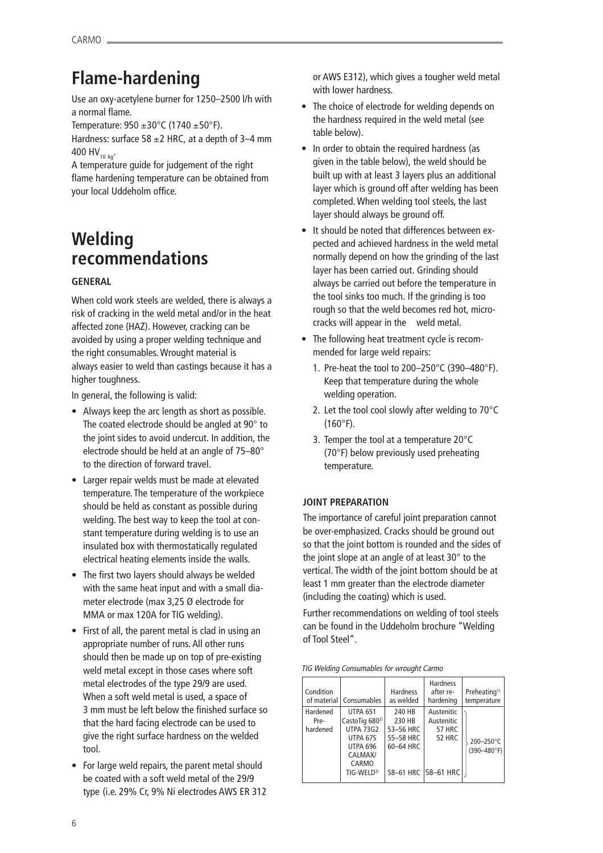## **Flame-hardening**

Use an oxy-acetylene burner for 1250–2500 l/h with a normal flame.

Temperature:  $950 \pm 30^{\circ}$ C (1740  $\pm 50^{\circ}$ F).

Hardness: surface 58  $\pm$ 2 HRC, at a depth of 3–4 mm 400 HV<sub>10 kg</sub>.

A temperature guide for judgement of the right flame hardening temperature can be obtained from your local Uddeholm office.

## **Welding recommendations**

## **GENERAL**

When cold work steels are welded, there is always a risk of cracking in the weld metal and/or in the heat affected zone (HAZ). However, cracking can be avoided by using a proper welding technique and the right consumables. Wrought material is always easier to weld than castings because it has a higher toughness.

In general, the following is valid:

- Always keep the arc length as short as possible. The coated electrode should be angled at 90° to the joint sides to avoid undercut. In addition, the electrode should be held at an angle of 75–80° to the direction of forward travel.
- Larger repair welds must be made at elevated temperature. The temperature of the workpiece should be held as constant as possible during welding. The best way to keep the tool at constant temperature during welding is to use an insulated box with thermostatically regulated electrical heating elements inside the walls.
- The first two layers should always be welded with the same heat input and with a small diameter electrode (max 3,25 Ø electrode for MMA or max 120A for TIG welding).
- First of all, the parent metal is clad in using an appropriate number of runs. All other runs should then be made up on top of pre-existing weld metal except in those cases where soft metal electrodes of the type 29/9 are used. When a soft weld metal is used, a space of 3 mm must be left below the finished surface so that the hard facing electrode can be used to give the right surface hardness on the welded tool.
- For large weld repairs, the parent metal should be coated with a soft weld metal of the 29/9 type (i.e. 29% Cr, 9% Ni electrodes AWS ER 312

or AWS E312), which gives a tougher weld metal with lower hardness.

- The choice of electrode for welding depends on the hardness required in the weld metal (see table below).
- In order to obtain the required hardness (as given in the table below), the weld should be built up with at least 3 layers plus an additional layer which is ground off after welding has been completed. When welding tool steels, the last layer should always be ground off.
- It should be noted that differences between expected and achieved hardness in the weld metal normally depend on how the grinding of the last layer has been carried out. Grinding should always be carried out before the temperature in the tool sinks too much. If the grinding is too rough so that the weld becomes red hot, microcracks will appear in the weld metal.
- The following heat treatment cycle is recommended for large weld repairs:
	- 1. Pre-heat the tool to 200–250°C (390–480°F). Keep that temperature during the whole welding operation.
	- 2. Let the tool cool slowly after welding to 70°C (160°F).
	- 3. Temper the tool at a temperature 20°C (70°F) below previously used preheating temperature.

## **JOINT PREPARATION**

The importance of careful joint preparation cannot be over-emphasized. Cracks should be ground out so that the joint bottom is rounded and the sides of the joint slope at an angle of at least 30° to the vertical. The width of the joint bottom should be at least 1 mm greater than the electrode diameter (including the coating) which is used.

Further recommendations on welding of tool steels can be found in the Uddeholm brochure "Welding of Tool Steel".

| TIG Welding Consumables for wrought Carmo |  |
|-------------------------------------------|--|
|-------------------------------------------|--|

| Condition<br>of material     | Consumables                                                                                                                                    | <b>Hardness</b><br>as welded                            | <b>Hardness</b><br>after re-<br>hardening                                         | Preheating <sup>1)</sup><br>temperature |
|------------------------------|------------------------------------------------------------------------------------------------------------------------------------------------|---------------------------------------------------------|-----------------------------------------------------------------------------------|-----------------------------------------|
| Hardened<br>Pre-<br>hardened | <b>UTPA 651</b><br>CastoTig 680 <sup>2)</sup><br><b>UTPA 73G2</b><br>UTPA 67S<br><b>UTPA 696</b><br>CALMAX/<br>CARMO<br>TIG-WELD <sup>3)</sup> | 240 HB<br>230 HB<br>53-56 HRC<br>55-58 HRC<br>60-64 HRC | Austenitic<br>Austenitic<br><b>57 HRC</b><br><b>52 HRC</b><br>58-61 HRC 58-61 HRC | 200-250°C<br>$(390 - 480$ °F)           |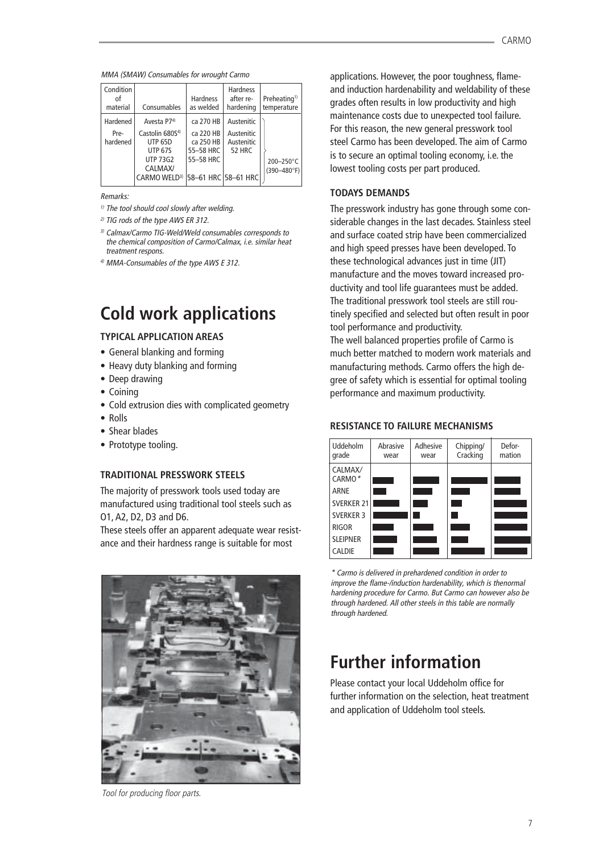MMA (SMAW) Consumables for wrought Carmo

| Condition<br>οf<br>material | Consumables                 | <b>Hardness</b><br>as welded | <b>Hardness</b><br>after re-<br>hardening | Preheating <sup>1)</sup><br>temperature |
|-----------------------------|-----------------------------|------------------------------|-------------------------------------------|-----------------------------------------|
| Hardened                    | Avesta P74)                 | ca 270 HB                    | Austenitic                                |                                         |
| Pre-                        | Castolin 680S <sup>4)</sup> | ca 220 HB                    | Austenitic                                |                                         |
| hardened                    | <b>UTP 65D</b>              | ca 250 HB                    | Austenitic                                |                                         |
|                             | <b>UTP 67S</b>              | 55-58 HRC                    | <b>52 HRC</b>                             |                                         |
|                             | <b>UTP 73G2</b>             | 55-58 HRC                    |                                           | 200-250°C                               |
|                             | CALMAX/                     |                              |                                           | $(390 - 480$ °F)                        |
|                             | CARMO WFID <sup>3)</sup>    |                              | 58-61 HRC 58-61 HRC                       |                                         |
|                             |                             |                              |                                           |                                         |

Remarks:

- $1)$  The tool should cool slowly after welding.
- 2) TIG rods of the type AWS ER 312.
- 3) Calmax/Carmo TIG-Weld/Weld consumables corresponds to the chemical composition of Carmo/Calmax, i.e. similar heat treatment respons.
- 4) MMA-Consumables of the type AWS E 312.

## **Cold work applications**

## **TYPICAL APPLICATION AREAS**

- General blanking and forming
- Heavy duty blanking and forming
- Deep drawing
- Coining
- Cold extrusion dies with complicated geometry
- Rolls
- Shear blades
- Prototype tooling.

## **TRADITIONAL PRESSWORK STEELS**

The majority of presswork tools used today are manufactured using traditional tool steels such as O1, A2, D2, D3 and D6.

These steels offer an apparent adequate wear resistance and their hardness range is suitable for most



Tool for producing floor parts.

applications. However, the poor toughness, flameand induction hardenability and weldability of these grades often results in low productivity and high maintenance costs due to unexpected tool failure. For this reason, the new general presswork tool steel Carmo has been developed. The aim of Carmo is to secure an optimal tooling economy, i.e. the lowest tooling costs per part produced.

## **TODAYS DEMANDS**

The presswork industry has gone through some considerable changes in the last decades. Stainless steel and surface coated strip have been commercialized and high speed presses have been developed. To these technological advances just in time (JIT) manufacture and the moves toward increased productivity and tool life guarantees must be added. The traditional presswork tool steels are still routinely specified and selected but often result in poor tool performance and productivity. The well balanced properties profile of Carmo is much better matched to modern work materials and manufacturing methods. Carmo offers the high degree of safety which is essential for optimal tooling performance and maximum productivity.

## **RESISTANCE TO FAILURE MECHANISMS**



\* Carmo is delivered in prehardened condition in order to improve the flame-/induction hardenability, which is thenormal hardening procedure for Carmo. But Carmo can however also be through hardened. All other steels in this table are normally through hardened.

## **Further information**

Please contact your local Uddeholm office for further information on the selection, heat treatment and application of Uddeholm tool steels.